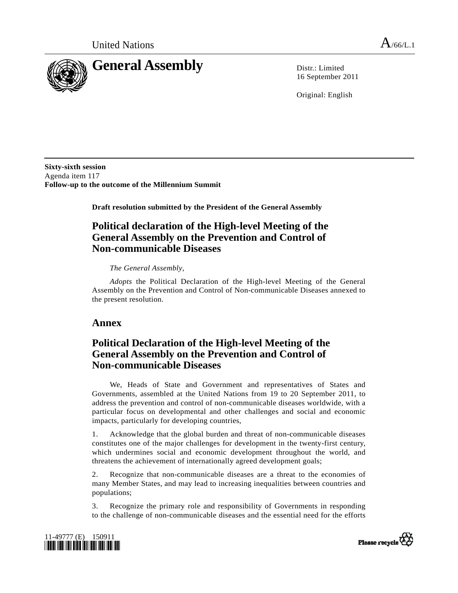

16 September 2011

Original: English

**Sixty-sixth session**  Agenda item 117 **Follow-up to the outcome of the Millennium Summit** 

 **Draft resolution submitted by the President of the General Assembly** 

# **Political declaration of the High-level Meeting of the General Assembly on the Prevention and Control of Non-communicable Diseases**

## *The General Assembly*,

*Adopts* the Political Declaration of the High-level Meeting of the General Assembly on the Prevention and Control of Non-communicable Diseases annexed to the present resolution.

## **Annex**

# **Political Declaration of the High-level Meeting of the General Assembly on the Prevention and Control of Non-communicable Diseases**

 We, Heads of State and Government and representatives of States and Governments, assembled at the United Nations from 19 to 20 September 2011, to address the prevention and control of non-communicable diseases worldwide, with a particular focus on developmental and other challenges and social and economic impacts, particularly for developing countries,

1. Acknowledge that the global burden and threat of non-communicable diseases constitutes one of the major challenges for development in the twenty-first century, which undermines social and economic development throughout the world, and threatens the achievement of internationally agreed development goals;

2. Recognize that non-communicable diseases are a threat to the economies of many Member States, and may lead to increasing inequalities between countries and populations;

3. Recognize the primary role and responsibility of Governments in responding to the challenge of non-communicable diseases and the essential need for the efforts



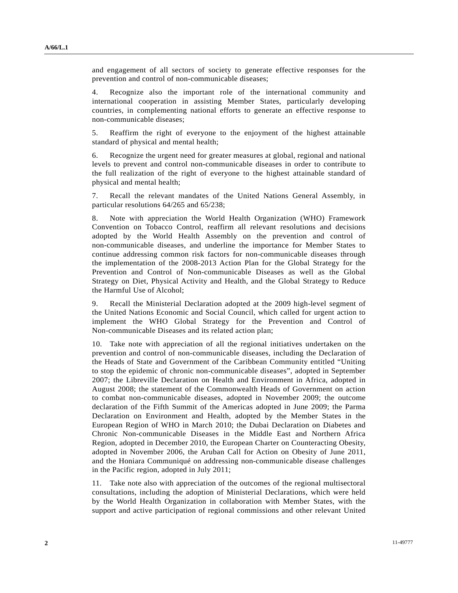and engagement of all sectors of society to generate effective responses for the prevention and control of non-communicable diseases;

4. Recognize also the important role of the international community and international cooperation in assisting Member States, particularly developing countries, in complementing national efforts to generate an effective response to non-communicable diseases;

5. Reaffirm the right of everyone to the enjoyment of the highest attainable standard of physical and mental health;

6. Recognize the urgent need for greater measures at global, regional and national levels to prevent and control non-communicable diseases in order to contribute to the full realization of the right of everyone to the highest attainable standard of physical and mental health;

7. Recall the relevant mandates of the United Nations General Assembly, in particular resolutions 64/265 and 65/238;

8. Note with appreciation the World Health Organization (WHO) Framework Convention on Tobacco Control, reaffirm all relevant resolutions and decisions adopted by the World Health Assembly on the prevention and control of non-communicable diseases, and underline the importance for Member States to continue addressing common risk factors for non-communicable diseases through the implementation of the 2008-2013 Action Plan for the Global Strategy for the Prevention and Control of Non-communicable Diseases as well as the Global Strategy on Diet, Physical Activity and Health, and the Global Strategy to Reduce the Harmful Use of Alcohol;

9. Recall the Ministerial Declaration adopted at the 2009 high-level segment of the United Nations Economic and Social Council, which called for urgent action to implement the WHO Global Strategy for the Prevention and Control of Non-communicable Diseases and its related action plan;

10. Take note with appreciation of all the regional initiatives undertaken on the prevention and control of non-communicable diseases, including the Declaration of the Heads of State and Government of the Caribbean Community entitled "Uniting to stop the epidemic of chronic non-communicable diseases", adopted in September 2007; the Libreville Declaration on Health and Environment in Africa, adopted in August 2008; the statement of the Commonwealth Heads of Government on action to combat non-communicable diseases, adopted in November 2009; the outcome declaration of the Fifth Summit of the Americas adopted in June 2009; the Parma Declaration on Environment and Health, adopted by the Member States in the European Region of WHO in March 2010; the Dubai Declaration on Diabetes and Chronic Non-communicable Diseases in the Middle East and Northern Africa Region, adopted in December 2010, the European Charter on Counteracting Obesity, adopted in November 2006, the Aruban Call for Action on Obesity of June 2011, and the Honiara Communiqué on addressing non-communicable disease challenges in the Pacific region, adopted in July 2011;

11. Take note also with appreciation of the outcomes of the regional multisectoral consultations, including the adoption of Ministerial Declarations, which were held by the World Health Organization in collaboration with Member States, with the support and active participation of regional commissions and other relevant United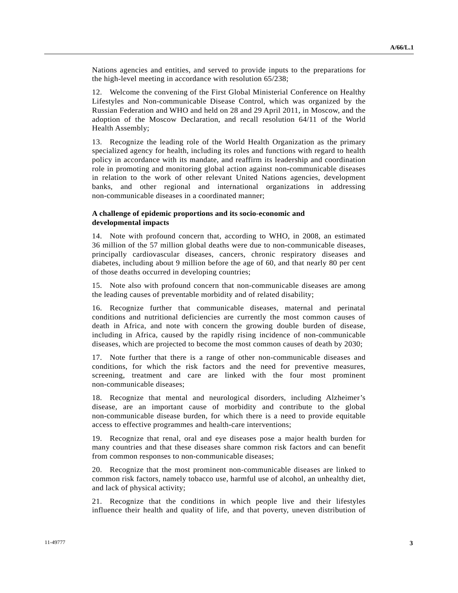Nations agencies and entities, and served to provide inputs to the preparations for the high-level meeting in accordance with resolution 65/238;

12. Welcome the convening of the First Global Ministerial Conference on Healthy Lifestyles and Non-communicable Disease Control, which was organized by the Russian Federation and WHO and held on 28 and 29 April 2011, in Moscow, and the adoption of the Moscow Declaration, and recall resolution 64/11 of the World Health Assembly;

13. Recognize the leading role of the World Health Organization as the primary specialized agency for health, including its roles and functions with regard to health policy in accordance with its mandate, and reaffirm its leadership and coordination role in promoting and monitoring global action against non-communicable diseases in relation to the work of other relevant United Nations agencies, development banks, and other regional and international organizations in addressing non-communicable diseases in a coordinated manner;

## **A challenge of epidemic proportions and its socio-economic and developmental impacts**

14. Note with profound concern that, according to WHO, in 2008, an estimated 36 million of the 57 million global deaths were due to non-communicable diseases, principally cardiovascular diseases, cancers, chronic respiratory diseases and diabetes, including about 9 million before the age of 60, and that nearly 80 per cent of those deaths occurred in developing countries;

15. Note also with profound concern that non-communicable diseases are among the leading causes of preventable morbidity and of related disability;

16. Recognize further that communicable diseases, maternal and perinatal conditions and nutritional deficiencies are currently the most common causes of death in Africa, and note with concern the growing double burden of disease, including in Africa, caused by the rapidly rising incidence of non-communicable diseases, which are projected to become the most common causes of death by 2030;

17. Note further that there is a range of other non-communicable diseases and conditions, for which the risk factors and the need for preventive measures, screening, treatment and care are linked with the four most prominent non-communicable diseases;

18. Recognize that mental and neurological disorders, including Alzheimer's disease, are an important cause of morbidity and contribute to the global non-communicable disease burden, for which there is a need to provide equitable access to effective programmes and health-care interventions;

19. Recognize that renal, oral and eye diseases pose a major health burden for many countries and that these diseases share common risk factors and can benefit from common responses to non-communicable diseases;

20. Recognize that the most prominent non-communicable diseases are linked to common risk factors, namely tobacco use, harmful use of alcohol, an unhealthy diet, and lack of physical activity;

21. Recognize that the conditions in which people live and their lifestyles influence their health and quality of life, and that poverty, uneven distribution of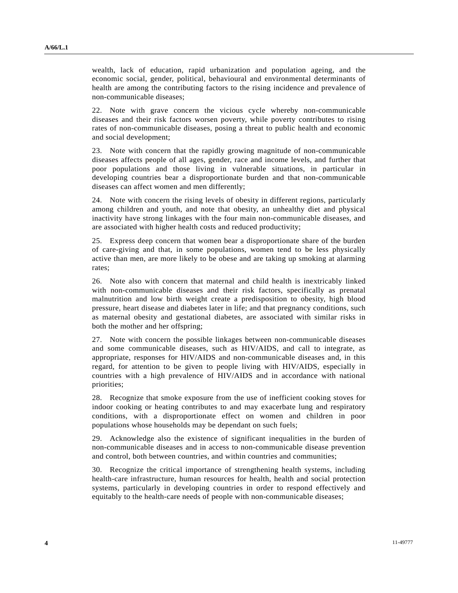wealth, lack of education, rapid urbanization and population ageing, and the economic social, gender, political, behavioural and environmental determinants of health are among the contributing factors to the rising incidence and prevalence of non-communicable diseases;

22. Note with grave concern the vicious cycle whereby non-communicable diseases and their risk factors worsen poverty, while poverty contributes to rising rates of non-communicable diseases, posing a threat to public health and economic and social development;

23. Note with concern that the rapidly growing magnitude of non-communicable diseases affects people of all ages, gender, race and income levels, and further that poor populations and those living in vulnerable situations, in particular in developing countries bear a disproportionate burden and that non-communicable diseases can affect women and men differently;

24. Note with concern the rising levels of obesity in different regions, particularly among children and youth, and note that obesity, an unhealthy diet and physical inactivity have strong linkages with the four main non-communicable diseases, and are associated with higher health costs and reduced productivity;

25. Express deep concern that women bear a disproportionate share of the burden of care-giving and that, in some populations, women tend to be less physically active than men, are more likely to be obese and are taking up smoking at alarming rates;

26. Note also with concern that maternal and child health is inextricably linked with non-communicable diseases and their risk factors, specifically as prenatal malnutrition and low birth weight create a predisposition to obesity, high blood pressure, heart disease and diabetes later in life; and that pregnancy conditions, such as maternal obesity and gestational diabetes, are associated with similar risks in both the mother and her offspring;

27. Note with concern the possible linkages between non-communicable diseases and some communicable diseases, such as HIV/AIDS, and call to integrate, as appropriate, responses for HIV/AIDS and non-communicable diseases and, in this regard, for attention to be given to people living with HIV/AIDS, especially in countries with a high prevalence of HIV/AIDS and in accordance with national priorities;

28. Recognize that smoke exposure from the use of inefficient cooking stoves for indoor cooking or heating contributes to and may exacerbate lung and respiratory conditions, with a disproportionate effect on women and children in poor populations whose households may be dependant on such fuels;

29. Acknowledge also the existence of significant inequalities in the burden of non-communicable diseases and in access to non-communicable disease prevention and control, both between countries, and within countries and communities;

30. Recognize the critical importance of strengthening health systems, including health-care infrastructure, human resources for health, health and social protection systems, particularly in developing countries in order to respond effectively and equitably to the health-care needs of people with non-communicable diseases;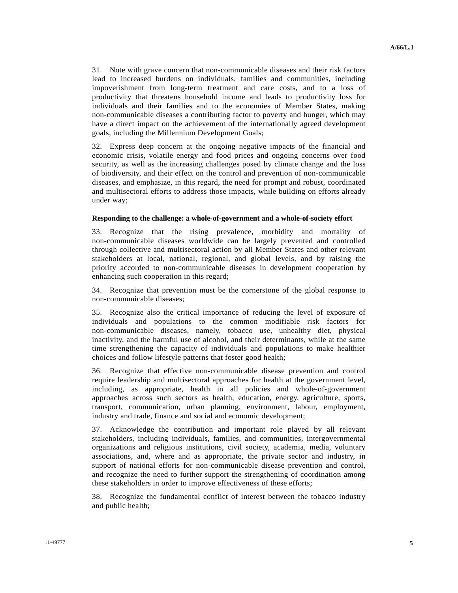31. Note with grave concern that non-communicable diseases and their risk factors lead to increased burdens on individuals, families and communities, including impoverishment from long-term treatment and care costs, and to a loss of productivity that threatens household income and leads to productivity loss for individuals and their families and to the economies of Member States, making non-communicable diseases a contributing factor to poverty and hunger, which may have a direct impact on the achievement of the internationally agreed development goals, including the Millennium Development Goals;

32. Express deep concern at the ongoing negative impacts of the financial and economic crisis, volatile energy and food prices and ongoing concerns over food security, as well as the increasing challenges posed by climate change and the loss of biodiversity, and their effect on the control and prevention of non-communicable diseases, and emphasize, in this regard, the need for prompt and robust, coordinated and multisectoral efforts to address those impacts, while building on efforts already under way;

### **Responding to the challenge: a whole-of-government and a whole-of-society effort**

33. Recognize that the rising prevalence, morbidity and mortality of non-communicable diseases worldwide can be largely prevented and controlled through collective and multisectoral action by all Member States and other relevant stakeholders at local, national, regional, and global levels, and by raising the priority accorded to non-communicable diseases in development cooperation by enhancing such cooperation in this regard;

34. Recognize that prevention must be the cornerstone of the global response to non-communicable diseases;

35. Recognize also the critical importance of reducing the level of exposure of individuals and populations to the common modifiable risk factors for non-communicable diseases, namely, tobacco use, unhealthy diet, physical inactivity, and the harmful use of alcohol, and their determinants, while at the same time strengthening the capacity of individuals and populations to make healthier choices and follow lifestyle patterns that foster good health;

36. Recognize that effective non-communicable disease prevention and control require leadership and multisectoral approaches for health at the government level, including, as appropriate, health in all policies and whole-of-government approaches across such sectors as health, education, energy, agriculture, sports, transport, communication, urban planning, environment, labour, employment, industry and trade, finance and social and economic development;

37. Acknowledge the contribution and important role played by all relevant stakeholders, including individuals, families, and communities, intergovernmental organizations and religious institutions, civil society, academia, media, voluntary associations, and, where and as appropriate, the private sector and industry, in support of national efforts for non-communicable disease prevention and control, and recognize the need to further support the strengthening of coordination among these stakeholders in order to improve effectiveness of these efforts;

38. Recognize the fundamental conflict of interest between the tobacco industry and public health;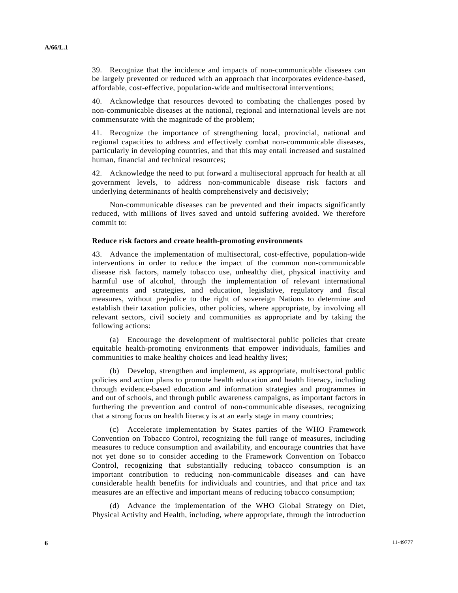39. Recognize that the incidence and impacts of non-communicable diseases can be largely prevented or reduced with an approach that incorporates evidence-based, affordable, cost-effective, population-wide and multisectoral interventions;

40. Acknowledge that resources devoted to combating the challenges posed by non-communicable diseases at the national, regional and international levels are not commensurate with the magnitude of the problem;

41. Recognize the importance of strengthening local, provincial, national and regional capacities to address and effectively combat non-communicable diseases, particularly in developing countries, and that this may entail increased and sustained human, financial and technical resources;

42. Acknowledge the need to put forward a multisectoral approach for health at all government levels, to address non-communicable disease risk factors and underlying determinants of health comprehensively and decisively;

 Non-communicable diseases can be prevented and their impacts significantly reduced, with millions of lives saved and untold suffering avoided. We therefore commit to:

#### **Reduce risk factors and create health-promoting environments**

43. Advance the implementation of multisectoral, cost-effective, population-wide interventions in order to reduce the impact of the common non-communicable disease risk factors, namely tobacco use, unhealthy diet, physical inactivity and harmful use of alcohol, through the implementation of relevant international agreements and strategies, and education, legislative, regulatory and fiscal measures, without prejudice to the right of sovereign Nations to determine and establish their taxation policies, other policies, where appropriate, by involving all relevant sectors, civil society and communities as appropriate and by taking the following actions:

 (a) Encourage the development of multisectoral public policies that create equitable health-promoting environments that empower individuals, families and communities to make healthy choices and lead healthy lives;

 (b) Develop, strengthen and implement, as appropriate, multisectoral public policies and action plans to promote health education and health literacy, including through evidence-based education and information strategies and programmes in and out of schools, and through public awareness campaigns, as important factors in furthering the prevention and control of non-communicable diseases, recognizing that a strong focus on health literacy is at an early stage in many countries;

 (c) Accelerate implementation by States parties of the WHO Framework Convention on Tobacco Control, recognizing the full range of measures, including measures to reduce consumption and availability, and encourage countries that have not yet done so to consider acceding to the Framework Convention on Tobacco Control, recognizing that substantially reducing tobacco consumption is an important contribution to reducing non-communicable diseases and can have considerable health benefits for individuals and countries, and that price and tax measures are an effective and important means of reducing tobacco consumption;

 (d) Advance the implementation of the WHO Global Strategy on Diet, Physical Activity and Health, including, where appropriate, through the introduction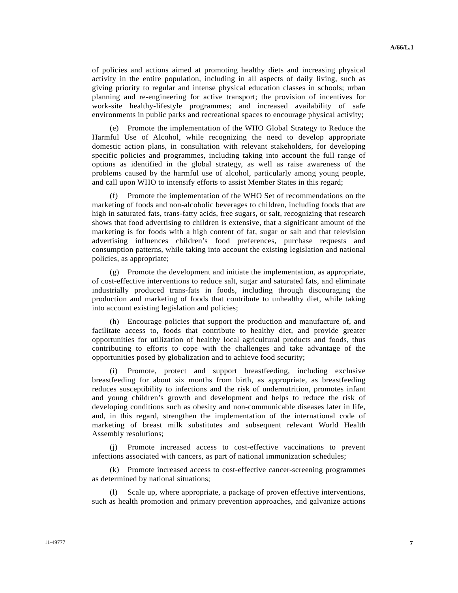of policies and actions aimed at promoting healthy diets and increasing physical activity in the entire population, including in all aspects of daily living, such as giving priority to regular and intense physical education classes in schools; urban planning and re-engineering for active transport; the provision of incentives for work-site healthy-lifestyle programmes; and increased availability of safe environments in public parks and recreational spaces to encourage physical activity;

 (e) Promote the implementation of the WHO Global Strategy to Reduce the Harmful Use of Alcohol, while recognizing the need to develop appropriate domestic action plans, in consultation with relevant stakeholders, for developing specific policies and programmes, including taking into account the full range of options as identified in the global strategy, as well as raise awareness of the problems caused by the harmful use of alcohol, particularly among young people, and call upon WHO to intensify efforts to assist Member States in this regard;

 (f) Promote the implementation of the WHO Set of recommendations on the marketing of foods and non-alcoholic beverages to children, including foods that are high in saturated fats, trans-fatty acids, free sugars, or salt, recognizing that research shows that food advertising to children is extensive, that a significant amount of the marketing is for foods with a high content of fat, sugar or salt and that television advertising influences children's food preferences, purchase requests and consumption patterns, while taking into account the existing legislation and national policies, as appropriate;

 (g) Promote the development and initiate the implementation, as appropriate, of cost-effective interventions to reduce salt, sugar and saturated fats, and eliminate industrially produced trans-fats in foods, including through discouraging the production and marketing of foods that contribute to unhealthy diet, while taking into account existing legislation and policies;

 (h) Encourage policies that support the production and manufacture of, and facilitate access to, foods that contribute to healthy diet, and provide greater opportunities for utilization of healthy local agricultural products and foods, thus contributing to efforts to cope with the challenges and take advantage of the opportunities posed by globalization and to achieve food security;

Promote, protect and support breastfeeding, including exclusive breastfeeding for about six months from birth, as appropriate, as breastfeeding reduces susceptibility to infections and the risk of undernutrition, promotes infant and young children's growth and development and helps to reduce the risk of developing conditions such as obesity and non-communicable diseases later in life, and, in this regard, strengthen the implementation of the international code of marketing of breast milk substitutes and subsequent relevant World Health Assembly resolutions;

 (j) Promote increased access to cost-effective vaccinations to prevent infections associated with cancers, as part of national immunization schedules;

 (k) Promote increased access to cost-effective cancer-screening programmes as determined by national situations;

 (l) Scale up, where appropriate, a package of proven effective interventions, such as health promotion and primary prevention approaches, and galvanize actions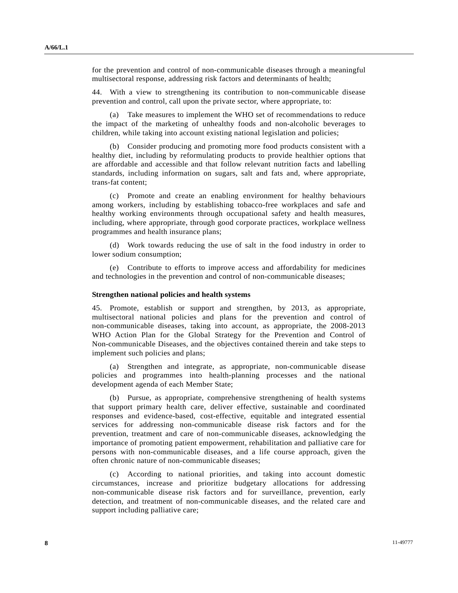for the prevention and control of non-communicable diseases through a meaningful multisectoral response, addressing risk factors and determinants of health;

44. With a view to strengthening its contribution to non-communicable disease prevention and control, call upon the private sector, where appropriate, to:

 (a) Take measures to implement the WHO set of recommendations to reduce the impact of the marketing of unhealthy foods and non-alcoholic beverages to children, while taking into account existing national legislation and policies;

 (b) Consider producing and promoting more food products consistent with a healthy diet, including by reformulating products to provide healthier options that are affordable and accessible and that follow relevant nutrition facts and labelling standards, including information on sugars, salt and fats and, where appropriate, trans-fat content;

 (c) Promote and create an enabling environment for healthy behaviours among workers, including by establishing tobacco-free workplaces and safe and healthy working environments through occupational safety and health measures, including, where appropriate, through good corporate practices, workplace wellness programmes and health insurance plans;

 (d) Work towards reducing the use of salt in the food industry in order to lower sodium consumption;

 (e) Contribute to efforts to improve access and affordability for medicines and technologies in the prevention and control of non-communicable diseases;

#### **Strengthen national policies and health systems**

45. Promote, establish or support and strengthen, by 2013, as appropriate, multisectoral national policies and plans for the prevention and control of non-communicable diseases, taking into account, as appropriate, the 2008-2013 WHO Action Plan for the Global Strategy for the Prevention and Control of Non-communicable Diseases, and the objectives contained therein and take steps to implement such policies and plans;

 (a) Strengthen and integrate, as appropriate, non-communicable disease policies and programmes into health-planning processes and the national development agenda of each Member State;

 (b) Pursue, as appropriate, comprehensive strengthening of health systems that support primary health care, deliver effective, sustainable and coordinated responses and evidence-based, cost-effective, equitable and integrated essential services for addressing non-communicable disease risk factors and for the prevention, treatment and care of non-communicable diseases, acknowledging the importance of promoting patient empowerment, rehabilitation and palliative care for persons with non-communicable diseases, and a life course approach, given the often chronic nature of non-communicable diseases;

 (c) According to national priorities, and taking into account domestic circumstances, increase and prioritize budgetary allocations for addressing non-communicable disease risk factors and for surveillance, prevention, early detection, and treatment of non-communicable diseases, and the related care and support including palliative care;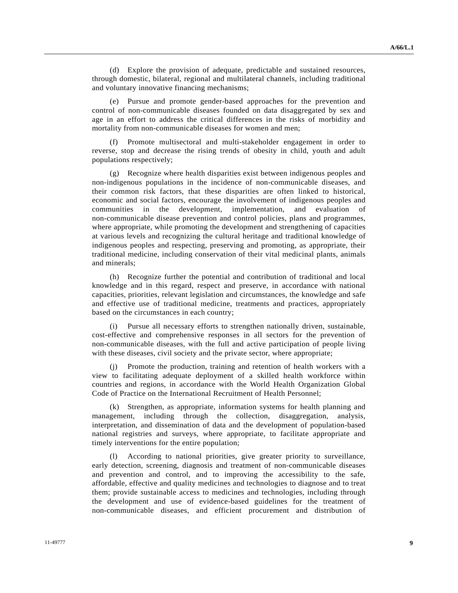(d) Explore the provision of adequate, predictable and sustained resources, through domestic, bilateral, regional and multilateral channels, including traditional and voluntary innovative financing mechanisms;

 (e) Pursue and promote gender-based approaches for the prevention and control of non-communicable diseases founded on data disaggregated by sex and age in an effort to address the critical differences in the risks of morbidity and mortality from non-communicable diseases for women and men;

 (f) Promote multisectoral and multi-stakeholder engagement in order to reverse, stop and decrease the rising trends of obesity in child, youth and adult populations respectively;

 (g) Recognize where health disparities exist between indigenous peoples and non-indigenous populations in the incidence of non-communicable diseases, and their common risk factors, that these disparities are often linked to historical, economic and social factors, encourage the involvement of indigenous peoples and communities in the development, implementation, and evaluation of non-communicable disease prevention and control policies, plans and programmes, where appropriate, while promoting the development and strengthening of capacities at various levels and recognizing the cultural heritage and traditional knowledge of indigenous peoples and respecting, preserving and promoting, as appropriate, their traditional medicine, including conservation of their vital medicinal plants, animals and minerals;

 (h) Recognize further the potential and contribution of traditional and local knowledge and in this regard, respect and preserve, in accordance with national capacities, priorities, relevant legislation and circumstances, the knowledge and safe and effective use of traditional medicine, treatments and practices, appropriately based on the circumstances in each country;

Pursue all necessary efforts to strengthen nationally driven, sustainable, cost-effective and comprehensive responses in all sectors for the prevention of non-communicable diseases, with the full and active participation of people living with these diseases, civil society and the private sector, where appropriate;

 (j) Promote the production, training and retention of health workers with a view to facilitating adequate deployment of a skilled health workforce within countries and regions, in accordance with the World Health Organization Global Code of Practice on the International Recruitment of Health Personnel;

 (k) Strengthen, as appropriate, information systems for health planning and management, including through the collection, disaggregation, analysis, interpretation, and dissemination of data and the development of population-based national registries and surveys, where appropriate, to facilitate appropriate and timely interventions for the entire population;

According to national priorities, give greater priority to surveillance, early detection, screening, diagnosis and treatment of non-communicable diseases and prevention and control, and to improving the accessibility to the safe, affordable, effective and quality medicines and technologies to diagnose and to treat them; provide sustainable access to medicines and technologies, including through the development and use of evidence-based guidelines for the treatment of non-communicable diseases, and efficient procurement and distribution of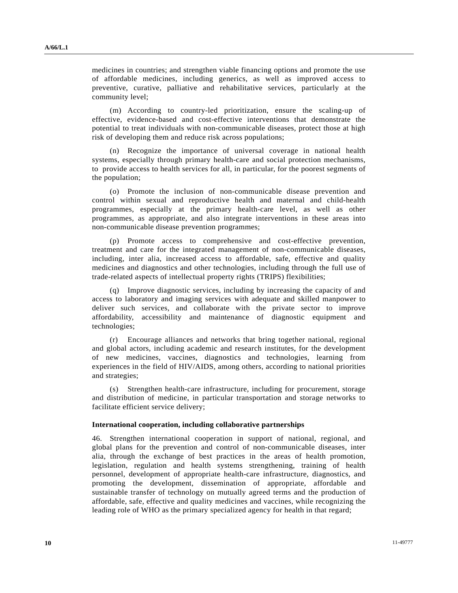medicines in countries; and strengthen viable financing options and promote the use of affordable medicines, including generics, as well as improved access to preventive, curative, palliative and rehabilitative services, particularly at the community level;

 (m) According to country-led prioritization, ensure the scaling-up of effective, evidence-based and cost-effective interventions that demonstrate the potential to treat individuals with non-communicable diseases, protect those at high risk of developing them and reduce risk across populations;

 (n) Recognize the importance of universal coverage in national health systems, especially through primary health-care and social protection mechanisms, to provide access to health services for all, in particular, for the poorest segments of the population;

 (o) Promote the inclusion of non-communicable disease prevention and control within sexual and reproductive health and maternal and child-health programmes, especially at the primary health-care level, as well as other programmes, as appropriate, and also integrate interventions in these areas into non-communicable disease prevention programmes;

 (p) Promote access to comprehensive and cost-effective prevention, treatment and care for the integrated management of non-communicable diseases, including, inter alia, increased access to affordable, safe, effective and quality medicines and diagnostics and other technologies, including through the full use of trade-related aspects of intellectual property rights (TRIPS) flexibilities;

 (q) Improve diagnostic services, including by increasing the capacity of and access to laboratory and imaging services with adequate and skilled manpower to deliver such services, and collaborate with the private sector to improve affordability, accessibility and maintenance of diagnostic equipment and technologies;

 (r) Encourage alliances and networks that bring together national, regional and global actors, including academic and research institutes, for the development of new medicines, vaccines, diagnostics and technologies, learning from experiences in the field of HIV/AIDS, among others, according to national priorities and strategies;

 (s) Strengthen health-care infrastructure, including for procurement, storage and distribution of medicine, in particular transportation and storage networks to facilitate efficient service delivery;

#### **International cooperation, including collaborative partnerships**

46. Strengthen international cooperation in support of national, regional, and global plans for the prevention and control of non-communicable diseases, inter alia, through the exchange of best practices in the areas of health promotion, legislation, regulation and health systems strengthening, training of health personnel, development of appropriate health-care infrastructure, diagnostics, and promoting the development, dissemination of appropriate, affordable and sustainable transfer of technology on mutually agreed terms and the production of affordable, safe, effective and quality medicines and vaccines, while recognizing the leading role of WHO as the primary specialized agency for health in that regard;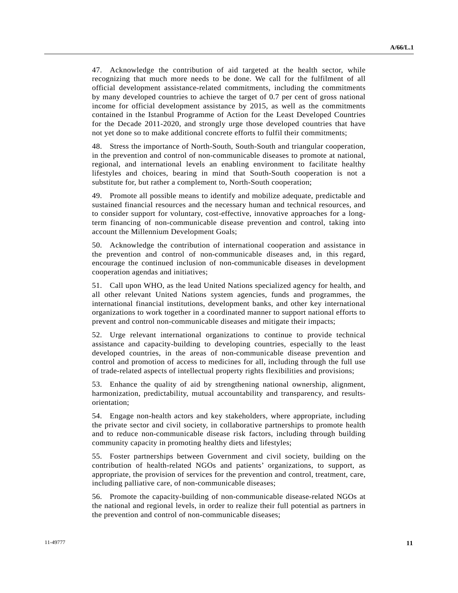47. Acknowledge the contribution of aid targeted at the health sector, while recognizing that much more needs to be done. We call for the fulfilment of all official development assistance-related commitments, including the commitments by many developed countries to achieve the target of 0.7 per cent of gross national income for official development assistance by 2015, as well as the commitments contained in the Istanbul Programme of Action for the Least Developed Countries for the Decade 2011-2020, and strongly urge those developed countries that have not yet done so to make additional concrete efforts to fulfil their commitments;

48. Stress the importance of North-South, South-South and triangular cooperation, in the prevention and control of non-communicable diseases to promote at national, regional, and international levels an enabling environment to facilitate healthy lifestyles and choices, bearing in mind that South-South cooperation is not a substitute for, but rather a complement to, North-South cooperation;

49. Promote all possible means to identify and mobilize adequate, predictable and sustained financial resources and the necessary human and technical resources, and to consider support for voluntary, cost-effective, innovative approaches for a longterm financing of non-communicable disease prevention and control, taking into account the Millennium Development Goals;

50. Acknowledge the contribution of international cooperation and assistance in the prevention and control of non-communicable diseases and, in this regard, encourage the continued inclusion of non-communicable diseases in development cooperation agendas and initiatives;

51. Call upon WHO, as the lead United Nations specialized agency for health, and all other relevant United Nations system agencies, funds and programmes, the international financial institutions, development banks, and other key international organizations to work together in a coordinated manner to support national efforts to prevent and control non-communicable diseases and mitigate their impacts;

52. Urge relevant international organizations to continue to provide technical assistance and capacity-building to developing countries, especially to the least developed countries, in the areas of non-communicable disease prevention and control and promotion of access to medicines for all, including through the full use of trade-related aspects of intellectual property rights flexibilities and provisions;

53. Enhance the quality of aid by strengthening national ownership, alignment, harmonization, predictability, mutual accountability and transparency, and resultsorientation;

54. Engage non-health actors and key stakeholders, where appropriate, including the private sector and civil society, in collaborative partnerships to promote health and to reduce non-communicable disease risk factors, including through building community capacity in promoting healthy diets and lifestyles;

55. Foster partnerships between Government and civil society, building on the contribution of health-related NGOs and patients' organizations, to support, as appropriate, the provision of services for the prevention and control, treatment, care, including palliative care, of non-communicable diseases;

56. Promote the capacity-building of non-communicable disease-related NGOs at the national and regional levels, in order to realize their full potential as partners in the prevention and control of non-communicable diseases;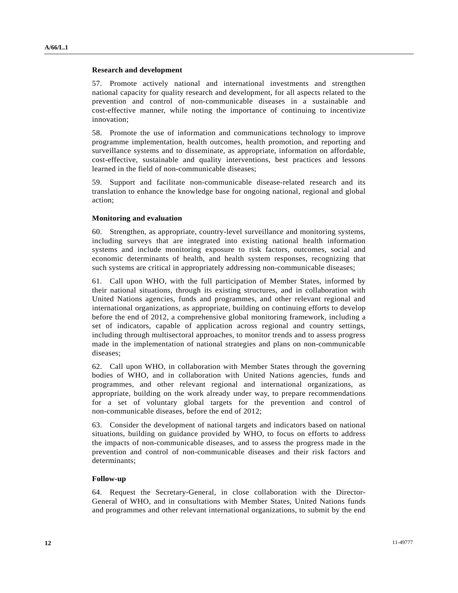#### **Research and development**

57. Promote actively national and international investments and strengthen national capacity for quality research and development, for all aspects related to the prevention and control of non-communicable diseases in a sustainable and cost-effective manner, while noting the importance of continuing to incentivize innovation;

58. Promote the use of information and communications technology to improve programme implementation, health outcomes, health promotion, and reporting and surveillance systems and to disseminate, as appropriate, information on affordable, cost-effective, sustainable and quality interventions, best practices and lessons learned in the field of non-communicable diseases;

59. Support and facilitate non-communicable disease-related research and its translation to enhance the knowledge base for ongoing national, regional and global action;

### **Monitoring and evaluation**

60. Strengthen, as appropriate, country-level surveillance and monitoring systems, including surveys that are integrated into existing national health information systems and include monitoring exposure to risk factors, outcomes, social and economic determinants of health, and health system responses, recognizing that such systems are critical in appropriately addressing non-communicable diseases;

61. Call upon WHO, with the full participation of Member States, informed by their national situations, through its existing structures, and in collaboration with United Nations agencies, funds and programmes, and other relevant regional and international organizations, as appropriate, building on continuing efforts to develop before the end of 2012, a comprehensive global monitoring framework, including a set of indicators, capable of application across regional and country settings, including through multisectoral approaches, to monitor trends and to assess progress made in the implementation of national strategies and plans on non-communicable diseases;

62. Call upon WHO, in collaboration with Member States through the governing bodies of WHO, and in collaboration with United Nations agencies, funds and programmes, and other relevant regional and international organizations, as appropriate, building on the work already under way, to prepare recommendations for a set of voluntary global targets for the prevention and control of non-communicable diseases, before the end of 2012;

63. Consider the development of national targets and indicators based on national situations, building on guidance provided by WHO, to focus on efforts to address the impacts of non-communicable diseases, and to assess the progress made in the prevention and control of non-communicable diseases and their risk factors and determinants;

#### **Follow-up**

64. Request the Secretary-General, in close collaboration with the Director-General of WHO, and in consultations with Member States, United Nations funds and programmes and other relevant international organizations, to submit by the end